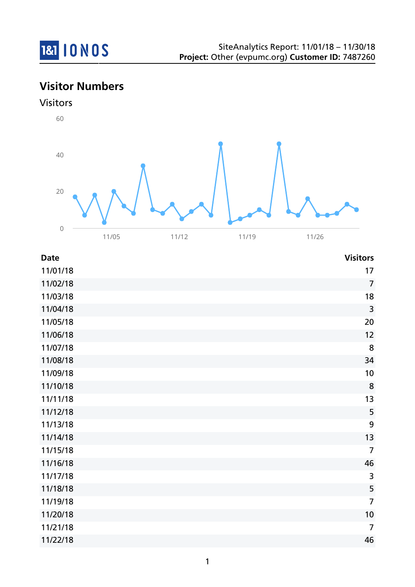

# **Visitor Numbers**

## Visitors



| <b>Date</b> | <b>Visitors</b>         |
|-------------|-------------------------|
| 11/01/18    | 17                      |
| 11/02/18    | $\overline{7}$          |
| 11/03/18    | 18                      |
| 11/04/18    | $\overline{\mathbf{3}}$ |
| 11/05/18    | 20                      |
| 11/06/18    | 12                      |
| 11/07/18    | 8                       |
| 11/08/18    | 34                      |
| 11/09/18    | 10                      |
| 11/10/18    | 8                       |
| 11/11/18    | 13                      |
| 11/12/18    | 5                       |
| 11/13/18    | 9                       |
| 11/14/18    | 13                      |
| 11/15/18    | $\overline{7}$          |
| 11/16/18    | 46                      |
| 11/17/18    | $\overline{3}$          |
| 11/18/18    | 5                       |
| 11/19/18    | $\overline{7}$          |
| 11/20/18    | 10                      |
| 11/21/18    | $\overline{7}$          |
| 11/22/18    | 46                      |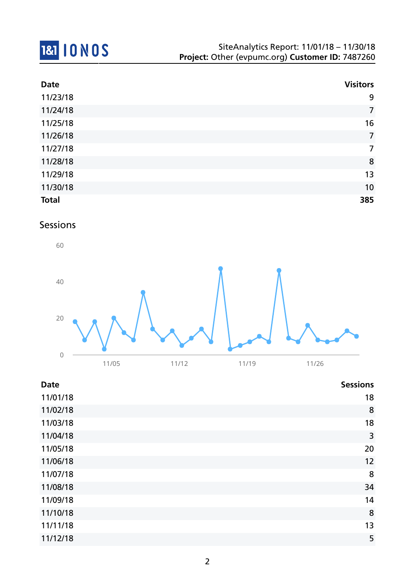

| <b>Date</b>  | <b>Visitors</b> |
|--------------|-----------------|
| 11/23/18     | 9               |
| 11/24/18     | $\overline{7}$  |
| 11/25/18     | 16              |
| 11/26/18     | $\overline{7}$  |
| 11/27/18     | $\overline{7}$  |
| 11/28/18     | 8               |
| 11/29/18     | 13              |
| 11/30/18     | 10              |
| <b>Total</b> | 385             |

## Sessions



| <b>Date</b> | <b>Sessions</b> |
|-------------|-----------------|
| 11/01/18    | 18              |
| 11/02/18    | 8               |
| 11/03/18    | 18              |
| 11/04/18    | 3               |
| 11/05/18    | 20              |
| 11/06/18    | 12              |
| 11/07/18    | 8               |
| 11/08/18    | 34              |
| 11/09/18    | 14              |
| 11/10/18    | 8               |
| 11/11/18    | 13              |
| 11/12/18    | 5               |
|             |                 |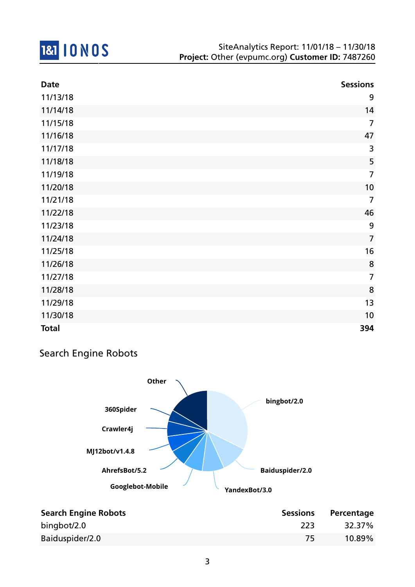

| <b>Date</b>  | <b>Sessions</b> |
|--------------|-----------------|
| 11/13/18     | 9               |
| 11/14/18     | 14              |
| 11/15/18     | $\overline{7}$  |
| 11/16/18     | 47              |
| 11/17/18     | 3               |
| 11/18/18     | 5               |
| 11/19/18     | $\overline{7}$  |
| 11/20/18     | 10              |
| 11/21/18     | $\overline{7}$  |
| 11/22/18     | 46              |
| 11/23/18     | 9               |
| 11/24/18     | $\overline{7}$  |
| 11/25/18     | 16              |
| 11/26/18     | $\bf 8$         |
| 11/27/18     | $\overline{7}$  |
| 11/28/18     | 8               |
| 11/29/18     | 13              |
| 11/30/18     | 10              |
| <b>Total</b> | 394             |

## Search Engine Robots



| <b>Search Engine Robots</b> | <b>Sessions</b> | Percentage |
|-----------------------------|-----------------|------------|
| bingbot/2.0                 | -223            | 32.37%     |
| Baiduspider/2.0             |                 | $10.89\%$  |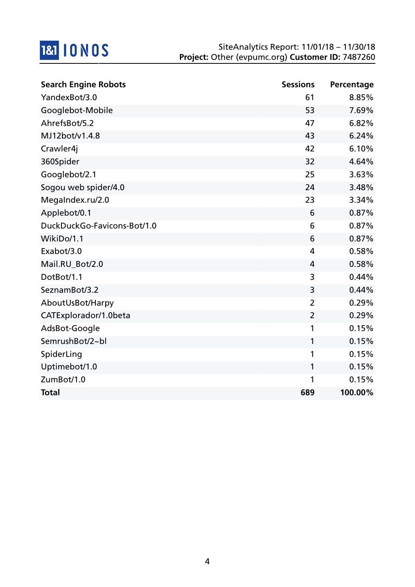

| <b>Search Engine Robots</b> | <b>Sessions</b> | Percentage |
|-----------------------------|-----------------|------------|
| YandexBot/3.0               | 61              | 8.85%      |
| Googlebot-Mobile            | 53              | 7.69%      |
| AhrefsBot/5.2               | 47              | 6.82%      |
| MJ12bot/v1.4.8              | 43              | 6.24%      |
| Crawler4j                   | 42              | 6.10%      |
| 360Spider                   | 32              | 4.64%      |
| Googlebot/2.1               | 25              | 3.63%      |
| Sogou web spider/4.0        | 24              | 3.48%      |
| MegaIndex.ru/2.0            | 23              | 3.34%      |
| Applebot/0.1                | 6               | 0.87%      |
| DuckDuckGo-Favicons-Bot/1.0 | 6               | 0.87%      |
| WikiDo/1.1                  | 6               | 0.87%      |
| Exabot/3.0                  | 4               | 0.58%      |
| Mail.RU_Bot/2.0             | 4               | 0.58%      |
| DotBot/1.1                  | 3               | 0.44%      |
| SeznamBot/3.2               | 3               | 0.44%      |
| AboutUsBot/Harpy            | $\overline{2}$  | 0.29%      |
| CATExplorador/1.0beta       | 2               | 0.29%      |
| AdsBot-Google               | 1               | 0.15%      |
| SemrushBot/2~bl             | 1               | 0.15%      |
| SpiderLing                  | 1               | 0.15%      |
| Uptimebot/1.0               | 1               | 0.15%      |
| ZumBot/1.0                  | 1               | 0.15%      |
| <b>Total</b>                | 689             | 100.00%    |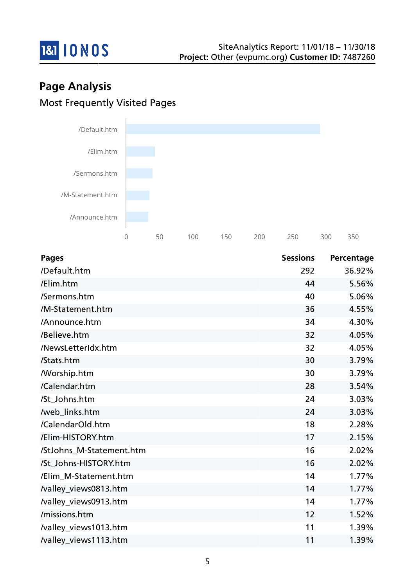

# **Page Analysis** Most Frequently Visited Pages



| <b>Pages</b>             | <b>Sessions</b> | Percentage |
|--------------------------|-----------------|------------|
| /Default.htm             | 292             | 36.92%     |
| /Elim.htm                | 44              | 5.56%      |
| /Sermons.htm             | 40              | 5.06%      |
| /M-Statement.htm         | 36              | 4.55%      |
| /Announce.htm            | 34              | 4.30%      |
| /Believe.htm             | 32              | 4.05%      |
| /NewsLetterIdx.htm       | 32              | 4.05%      |
| /Stats.htm               | 30              | 3.79%      |
| <b>Morship.htm</b>       | 30              | 3.79%      |
| /Calendar.htm            | 28              | 3.54%      |
| /St_Johns.htm            | 24              | 3.03%      |
| /web_links.htm           | 24              | 3.03%      |
| /CalendarOld.htm         | 18              | 2.28%      |
| /Elim-HISTORY.htm        | 17              | 2.15%      |
| /StJohns_M-Statement.htm | 16              | 2.02%      |
| /St_Johns-HISTORY.htm    | 16              | 2.02%      |
| /Elim_M-Statement.htm    | 14              | 1.77%      |
| /valley_views0813.htm    | 14              | 1.77%      |
| /valley_views0913.htm    | 14              | 1.77%      |
| /missions.htm            | 12              | 1.52%      |
| /valley_views1013.htm    | 11              | 1.39%      |
| /valley_views1113.htm    | 11              | 1.39%      |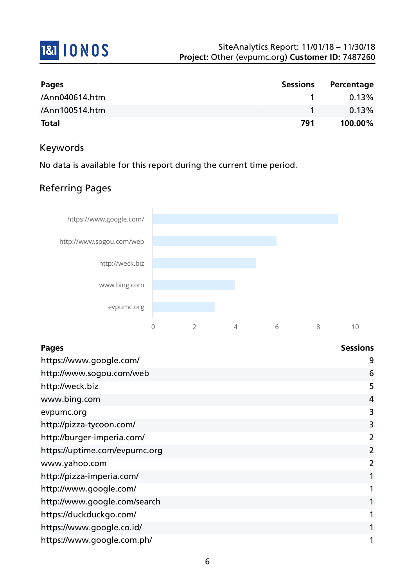

| <b>Pages</b>   | <b>Sessions</b> | Percentage |
|----------------|-----------------|------------|
| /Ann040614.htm |                 | 0.13%      |
| /Ann100514.htm |                 | 0.13%      |
| <b>Total</b>   | 791             | 100.00%    |

### Keywords

No data is available for this report during the current time period.

## Referring Pages



| <b>Pages</b>                  | <b>Sessions</b> |
|-------------------------------|-----------------|
| https://www.google.com/       | 9               |
| http://www.sogou.com/web      | 6               |
| http://weck.biz               | 5               |
| www.bing.com                  | 4               |
| evpumc.org                    | 3               |
| http://pizza-tycoon.com/      | 3               |
| http://burger-imperia.com/    | 2               |
| https://uptime.com/evpumc.org | 2               |
| www.yahoo.com                 | $\overline{2}$  |
| http://pizza-imperia.com/     | 1               |
| http://www.google.com/        | 1               |
| http://www.google.com/search  | 1               |
| https://duckduckgo.com/       | 1               |
| https://www.google.co.id/     | 1               |
| https://www.google.com.ph/    | 1               |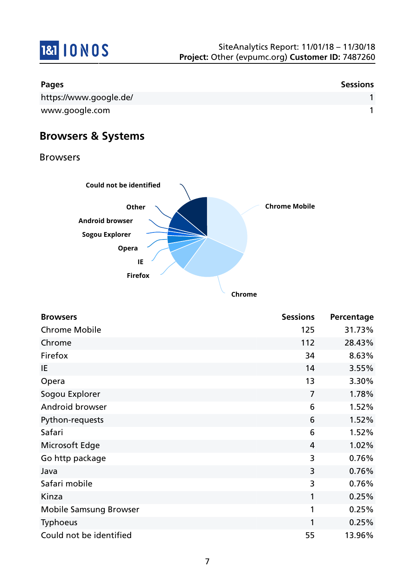

| <b>Pages</b>           | <b>Sessions</b> |
|------------------------|-----------------|
| https://www.google.de/ |                 |
| www.google.com         |                 |

# **Browsers & Systems**

Browsers



| <b>Browsers</b>               | <b>Sessions</b> | Percentage |
|-------------------------------|-----------------|------------|
| <b>Chrome Mobile</b>          | 125             | 31.73%     |
| Chrome                        | 112             | 28.43%     |
| Firefox                       | 34              | 8.63%      |
| IE                            | 14              | 3.55%      |
| Opera                         | 13              | 3.30%      |
| Sogou Explorer                | $\overline{7}$  | 1.78%      |
| Android browser               | 6               | 1.52%      |
| Python-requests               | 6               | 1.52%      |
| Safari                        | 6               | 1.52%      |
| Microsoft Edge                | $\overline{4}$  | 1.02%      |
| Go http package               | 3               | 0.76%      |
| Java                          | 3               | 0.76%      |
| Safari mobile                 | 3               | 0.76%      |
| Kinza                         | 1               | 0.25%      |
| <b>Mobile Samsung Browser</b> | 1               | 0.25%      |
| <b>Typhoeus</b>               | 1               | 0.25%      |
| Could not be identified       | 55              | 13.96%     |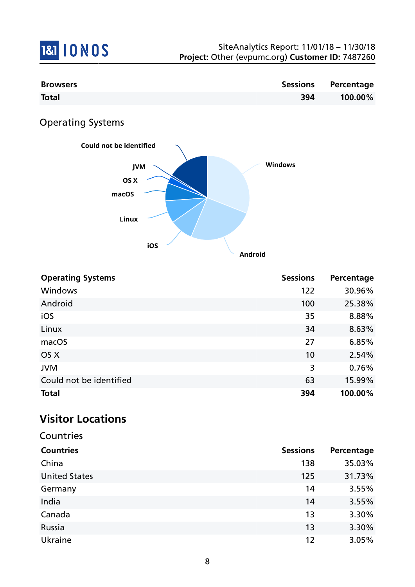

| <b>Browsers</b>      | <b>Sessions</b> | Percentage |
|----------------------|-----------------|------------|
| <b>Total</b>         | 394             | 100.00%    |
| $\bigcap_{n \geq n}$ |                 |            |

Operating Systems



| <b>Operating Systems</b> | <b>Sessions</b> | Percentage |
|--------------------------|-----------------|------------|
| Windows                  | 122             | 30.96%     |
| Android                  | 100             | 25.38%     |
| iOS                      | 35              | 8.88%      |
| Linux                    | 34              | 8.63%      |
| macOS                    | 27              | 6.85%      |
| OS X                     | 10              | 2.54%      |
| <b>JVM</b>               | 3               | 0.76%      |
| Could not be identified  | 63              | 15.99%     |
| <b>Total</b>             | 394             | 100.00%    |

# **Visitor Locations**

| Countries            |                 |            |
|----------------------|-----------------|------------|
| <b>Countries</b>     | <b>Sessions</b> | Percentage |
| China                | 138             | 35.03%     |
| <b>United States</b> | 125             | 31.73%     |
| Germany              | 14              | 3.55%      |
| India                | 14              | 3.55%      |
| Canada               | 13              | 3.30%      |
| Russia               | 13              | 3.30%      |
| Ukraine              | 12              | 3.05%      |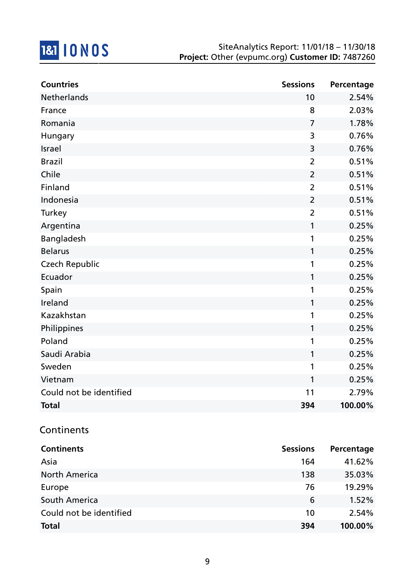

| <b>Countries</b>        | <b>Sessions</b> | Percentage |
|-------------------------|-----------------|------------|
| <b>Netherlands</b>      | 10              | 2.54%      |
| France                  | 8               | 2.03%      |
| Romania                 | $\overline{7}$  | 1.78%      |
| Hungary                 | 3               | 0.76%      |
| Israel                  | 3               | 0.76%      |
| <b>Brazil</b>           | $\overline{2}$  | 0.51%      |
| Chile                   | $\overline{2}$  | 0.51%      |
| Finland                 | $\overline{2}$  | 0.51%      |
| Indonesia               | $\overline{2}$  | 0.51%      |
| Turkey                  | $\overline{2}$  | 0.51%      |
| Argentina               | 1               | 0.25%      |
| Bangladesh              | 1               | 0.25%      |
| <b>Belarus</b>          | 1               | 0.25%      |
| <b>Czech Republic</b>   | 1               | 0.25%      |
| Ecuador                 | 1               | 0.25%      |
| Spain                   | 1               | 0.25%      |
| Ireland                 | 1               | 0.25%      |
| Kazakhstan              | 1               | 0.25%      |
| Philippines             | 1               | 0.25%      |
| Poland                  | 1               | 0.25%      |
| Saudi Arabia            | 1               | 0.25%      |
| Sweden                  | 1               | 0.25%      |
| Vietnam                 | 1               | 0.25%      |
| Could not be identified | 11              | 2.79%      |
| <b>Total</b>            | 394             | 100.00%    |

## **Continents**

| <b>Continents</b>       | <b>Sessions</b> | Percentage |
|-------------------------|-----------------|------------|
| Asia                    | 164             | 41.62%     |
| <b>North America</b>    | 138             | 35.03%     |
| Europe                  | 76              | 19.29%     |
| South America           | 6               | 1.52%      |
| Could not be identified | 10              | 2.54%      |
| <b>Total</b>            | 394             | 100.00%    |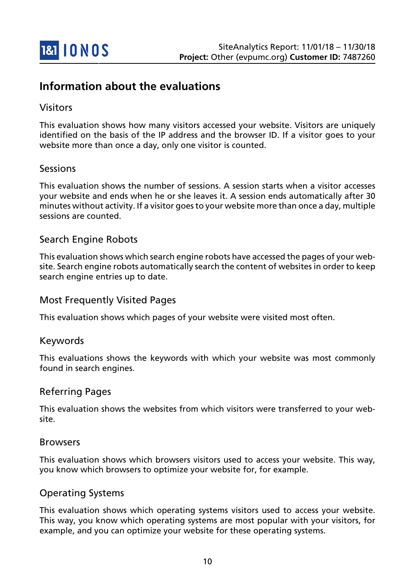

# **Information about the evaluations**

### Visitors

This evaluation shows how many visitors accessed your website. Visitors are uniquely identified on the basis of the IP address and the browser ID. If a visitor goes to your website more than once a day, only one visitor is counted.

#### Sessions

This evaluation shows the number of sessions. A session starts when a visitor accesses your website and ends when he or she leaves it. A session ends automatically after 30 minutes without activity. If a visitor goes to your website more than once a day, multiple sessions are counted.

### Search Engine Robots

This evaluation shows which search engine robots have accessed the pages of your website. Search engine robots automatically search the content of websites in order to keep search engine entries up to date.

### Most Frequently Visited Pages

This evaluation shows which pages of your website were visited most often.

#### Keywords

This evaluations shows the keywords with which your website was most commonly found in search engines.

#### Referring Pages

This evaluation shows the websites from which visitors were transferred to your website.

#### Browsers

This evaluation shows which browsers visitors used to access your website. This way, you know which browsers to optimize your website for, for example.

#### Operating Systems

This evaluation shows which operating systems visitors used to access your website. This way, you know which operating systems are most popular with your visitors, for example, and you can optimize your website for these operating systems.